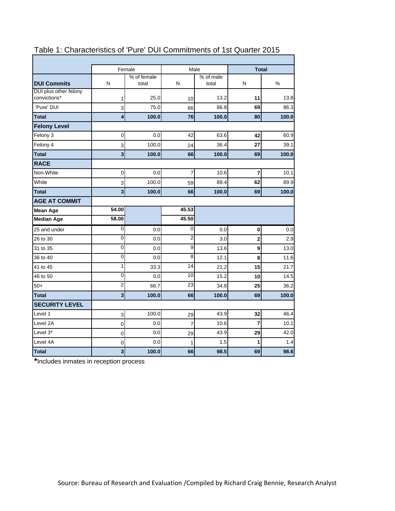|                                       |                         | Female<br>Male       |                 |                    | <b>Total</b>            |       |  |
|---------------------------------------|-------------------------|----------------------|-----------------|--------------------|-------------------------|-------|--|
| <b>DUI Commits</b>                    | N                       | % of female<br>total | N               | % of male<br>total | N                       | %     |  |
| DUI plus other felony<br>convictions* | 1                       | 25.0                 | 10              | 13.2               | 11                      | 13.8  |  |
| 'Pure' DUI                            | 3                       | 75.0                 | 66              | 86.8               | 69                      | 86.3  |  |
| <b>Total</b>                          | 4                       | 100.0                | 76              | 100.0              | 80                      | 100.0 |  |
| <b>Felony Level</b>                   |                         |                      |                 |                    |                         |       |  |
| Felony 3                              | $\pmb{0}$               | 0.0                  | 42              | 63.6               | 42                      | 60.9  |  |
| Felony 4                              | 3                       | 100.0                | 24              | 36.4               | 27                      | 39.1  |  |
| <b>Total</b>                          | $\overline{\mathbf{3}}$ | 100.0                | 66              | 100.0              | 69                      | 100.0 |  |
| <b>RACE</b>                           |                         |                      |                 |                    |                         |       |  |
| Non-White                             | 0                       | 0.0                  | $\overline{7}$  | 10.6               | $\overline{7}$          | 10.1  |  |
| White                                 | 3                       | 100.0                | 59              | 89.4               | 62                      | 89.9  |  |
| <b>Total</b>                          | $\overline{\mathbf{3}}$ | 100.0                | 66              | 100.0              | 69                      | 100.0 |  |
| <b>AGE AT COMMIT</b>                  |                         |                      |                 |                    |                         |       |  |
| <b>Mean Age</b>                       | 54.00                   |                      | 45.53           |                    |                         |       |  |
| <b>Median Age</b>                     | 58.00                   |                      | 45.50           |                    |                         |       |  |
| 25 and under                          | 0                       | 0.0                  | 0               | 0.0                | $\pmb{0}$               | 0.0   |  |
| 26 to 30                              | $\mathbf 0$             | 0.0                  | $\overline{c}$  | 3.0                | $\overline{\mathbf{2}}$ | 2.9   |  |
| 31 to 35                              | 0                       | 0.0                  | 9               | 13.6               | 9                       | 13.0  |  |
| 36 to 40                              | 0                       | 0.0                  | $\overline{8}$  | 12.1               | 8                       | 11.6  |  |
| 41 to 45                              | 1                       | 33.3                 | $\overline{14}$ | 21.2               | 15                      | 21.7  |  |
| 46 to 50                              | 0                       | 0.0                  | 10              | 15.2               | 10                      | 14.5  |  |
| $50+$                                 | $\overline{2}$          | 66.7                 | $\overline{23}$ | 34.8               | 25                      | 36.2  |  |
| <b>Total</b>                          | $\overline{\mathbf{3}}$ | 100.0                | 66              | 100.0              | 69                      | 100.0 |  |
| <b>SECURITY LEVEL</b>                 |                         |                      |                 |                    |                         |       |  |
| Level 1                               | 3                       | 100.0                | 29              | 43.9               | 32                      | 46.4  |  |
| Level 2A                              | 0                       | 0.0                  | 7               | 10.6               | 7                       | 10.1  |  |
| Level 3*                              | 0                       | 0.0                  | 29              | 43.9               | 29                      | 42.0  |  |
| Level 4A                              | $\pmb{0}$               | 0.0                  | 1               | 1.5                | 1                       | 1.4   |  |
| <b>Total</b>                          | 3                       | 100.0                | 66              | 98.5               | 69                      | 98.6  |  |

# Table 1: Characteristics of 'Pure' DUI Commitments of 1st Quarter 2015

**\***Includes inmates in reception process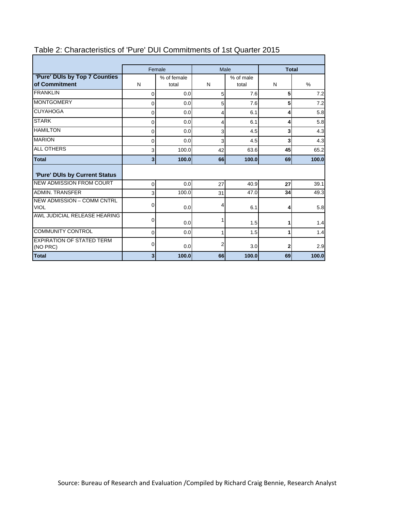|                                                  | Female                  |                      | Male           |                    | <b>Total</b> |       |
|--------------------------------------------------|-------------------------|----------------------|----------------|--------------------|--------------|-------|
| 'Pure' DUIs by Top 7 Counties<br>of Commitment   | N                       | % of female<br>total | N              | % of male<br>total | N            | %     |
| <b>FRANKLIN</b>                                  | $\mathbf{0}$            | 0.0 <sub>l</sub>     | 5              | 7.6                | 5            | 7.2   |
| <b>MONTGOMERY</b>                                | 0                       | 0.0                  | 5              | 7.6                | 5            | 7.2   |
| <b>CUYAHOGA</b>                                  | 0                       | 0.0                  | 4              | 6.1                | 4            | 5.8   |
| <b>STARK</b>                                     | 0                       | 0.0 <sub>l</sub>     | 4              | 6.1                | 4            | 5.8   |
| <b>HAMILTON</b>                                  | 0                       | 0.0                  | 3              | 4.5                | 3            | 4.3   |
| <b>MARION</b>                                    | 0                       | 0.0                  | 3              | 4.5                | 3            | 4.3   |
| <b>ALL OTHERS</b>                                | 3                       | 100.0                | 42             | 63.6               | 45           | 65.2  |
| <b>Total</b>                                     | $\overline{\mathbf{3}}$ | 100.0                | 66             | 100.0              | 69           | 100.0 |
| 'Pure' DUIs by Current Status                    |                         |                      |                |                    |              |       |
| <b>NEW ADMISSION FROM COURT</b>                  | $\Omega$                | 0.0 <sub>l</sub>     | 27             | 40.9               | 27           | 39.1  |
| <b>ADMIN. TRANSFER</b>                           | 3                       | 100.0                | 31             | 47.0               | 34           | 49.3  |
| <b>NEW ADMISSION - COMM CNTRL</b><br><b>VIOL</b> | 0                       | 0.0                  | 4              | 6.1                | 4            | 5.8   |
| AWL JUDICIAL RELEASE HEARING                     | 0                       | 0.0 <sub>l</sub>     | 1              | 1.5                | 1            | 1.4   |
| <b>COMMUNITY CONTROL</b>                         | 0                       | 0.0                  | 1              | 1.5                | 1            | 1.4   |
| <b>EXPIRATION OF STATED TERM</b><br>(NO PRC)     | 0                       | 0.0                  | $\overline{2}$ | 3.0                | 2            | 2.9   |
| <b>Total</b>                                     | 3                       | 100.0                | 66             | 100.0              | 69           | 100.0 |

# Table 2: Characteristics of 'Pure' DUI Commitments of 1st Quarter 2015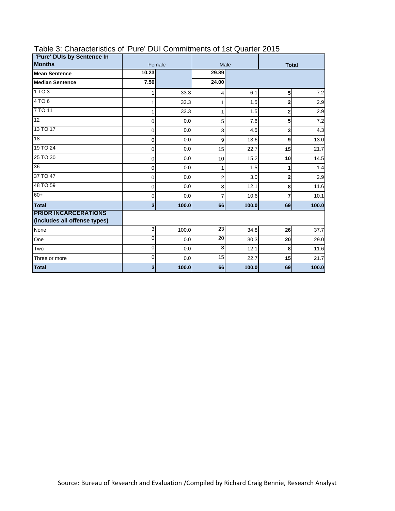| 'Pure' DUIs by Sentence In                                  |                |        |       |                      |                |       |
|-------------------------------------------------------------|----------------|--------|-------|----------------------|----------------|-------|
| <b>Months</b>                                               |                | Female |       | Male<br><b>Total</b> |                |       |
| <b>Mean Sentence</b>                                        | 10.23          |        | 29.89 |                      |                |       |
| <b>Median Sentence</b>                                      | 7.50           |        | 24.00 |                      |                |       |
| 1 TO 3                                                      |                | 33.3   | 4     | 6.1                  | 5              | 7.2   |
| 4TO6                                                        |                | 33.3   | 1     | 1.5                  | $\overline{2}$ | 2.9   |
| 7 TO 11                                                     |                | 33.3   | 1     | 1.5                  | 2              | 2.9   |
| 12                                                          | 0              | 0.0    | 5     | 7.6                  | 5              | 7.2   |
| 13 TO 17                                                    | 0              | 0.0    | 3     | 4.5                  | 3              | 4.3   |
| 18                                                          | 0              | 0.0    | 9     | 13.6                 | 9              | 13.0  |
| 19 TO 24                                                    | 0              | 0.0    | 15    | 22.7                 | 15             | 21.7  |
| 25 TO 30                                                    | $\mathbf 0$    | 0.0    | 10    | 15.2                 | 10             | 14.5  |
| $\overline{36}$                                             | 0              | 0.0    | 1     | 1.5                  | 1              | 1.4   |
| 37 TO 47                                                    | 0              | 0.0    | 2     | 3.0                  | $\mathbf{2}$   | 2.9   |
| 48 TO 59                                                    | 0              | 0.0    | 8     | 12.1                 | 8              | 11.6  |
| $60+$                                                       | 0              | 0.0    | 7     | 10.6                 | 7              | 10.1  |
| <b>Total</b>                                                | 3 <sup>1</sup> | 100.0  | 66    | 100.0                | 69             | 100.0 |
| <b>PRIOR INCARCERATIONS</b><br>(includes all offense types) |                |        |       |                      |                |       |
| None                                                        | 3              | 100.0  | 23    | 34.8                 | 26             | 37.7  |
| One                                                         | 0              | 0.0    | 20    | 30.3                 | 20             | 29.0  |
| Two                                                         | 0              | 0.0    | 8     | 12.1                 | 8              | 11.6  |
| Three or more                                               | 0              | 0.0    | 15    | 22.7                 | 15             | 21.7  |
| <b>Total</b>                                                | 3              | 100.0  | 66    | 100.0                | 69             | 100.0 |

## Table 3: Characteristics of 'Pure' DUI Commitments of 1st Quarter 2015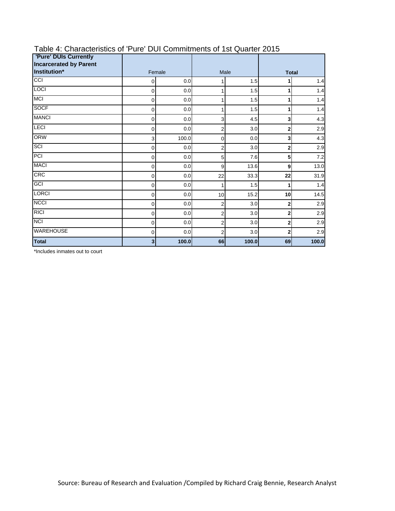| <b>'Pure' DUIs Currently</b><br><b>Incarcerated by Parent</b> |   |        |                |       |                |       |
|---------------------------------------------------------------|---|--------|----------------|-------|----------------|-------|
| Institution*                                                  |   | Female | Male           |       | <b>Total</b>   |       |
| CC                                                            | 0 | 0.0    | 1              | 1.5   | 1              | 1.4   |
| <b>LOCI</b>                                                   | 0 | 0.0    | 1              | 1.5   | 1              | 1.4   |
| <b>MCI</b>                                                    | 0 | 0.0    | 1              | 1.5   | 1              | 1.4   |
| <b>SOCF</b>                                                   | 0 | 0.0    | 1              | 1.5   | 1              | 1.4   |
| <b>MANCI</b>                                                  | 0 | 0.0    | 3              | 4.5   | 3              | 4.3   |
| <b>LECI</b>                                                   | 0 | 0.0    | 2              | 3.0   | $\mathbf 2$    | 2.9   |
| <b>ORW</b>                                                    | 3 | 100.0  | 0              | 0.0   | 3              | 4.3   |
| SCI                                                           | 0 | 0.0    | $\overline{2}$ | 3.0   | $\mathbf 2$    | 2.9   |
| PCI                                                           | 0 | 0.0    | 5              | 7.6   | 5              | 7.2   |
| <b>MACI</b>                                                   | 0 | 0.0    | 9              | 13.6  | 9              | 13.0  |
| CRC                                                           | 0 | 0.0    | 22             | 33.3  | 22             | 31.9  |
| GCI                                                           | 0 | 0.0    | 1              | 1.5   | 1              | 1.4   |
| <b>LORCI</b>                                                  | 0 | 0.0    | 10             | 15.2  | 10             | 14.5  |
| <b>NCCI</b>                                                   | 0 | 0.0    | 2              | 3.0   | $\mathbf 2$    | 2.9   |
| <b>RICI</b>                                                   | 0 | 0.0    | 2              | 3.0   | $\overline{2}$ | 2.9   |
| <b>NCI</b>                                                    | 0 | 0.0    | $\overline{2}$ | 3.0   | $\overline{2}$ | 2.9   |
| <b>WAREHOUSE</b>                                              | 0 | 0.0    | 2              | 3.0   | $\mathbf{2}$   | 2.9   |
| <b>Total</b>                                                  | 3 | 100.0  | 66             | 100.0 | 69             | 100.0 |

## Table 4: Characteristics of 'Pure' DUI Commitments of 1st Quarter 2015

\*Includes inmates out to court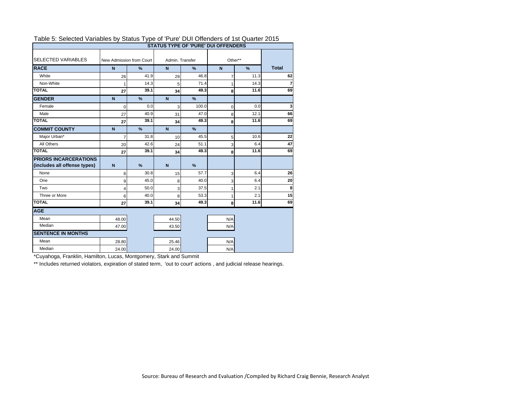| Table 5. Selected Variables by Status Type of Fule DOI Offerfuers of TSt Quarter 2015<br><b>STATUS TYPE OF 'PURE' DUI OFFENDERS</b> |                          |               |                 |               |                |      |              |  |  |
|-------------------------------------------------------------------------------------------------------------------------------------|--------------------------|---------------|-----------------|---------------|----------------|------|--------------|--|--|
| <b>SELECTED VARIABLES</b>                                                                                                           | New Admission from Court |               | Admin. Transfer |               | Other**        |      |              |  |  |
| <b>RACE</b>                                                                                                                         | N                        | $\%$          | $\mathsf{N}$    | %             | $\mathbf N$    | $\%$ | <b>Total</b> |  |  |
| White                                                                                                                               | 26                       | 41.9          | 29              | 46.8          | $\overline{7}$ | 11.3 | 62           |  |  |
| Non-White                                                                                                                           |                          | 14.3          | 5               | 71.4          | 1              | 14.3 |              |  |  |
| <b>TOTAL</b>                                                                                                                        | 27                       | 39.1          | 34              | 49.3          | 8              | 11.6 | 69           |  |  |
| <b>GENDER</b>                                                                                                                       | $\mathbf N$              | $\frac{9}{6}$ | $\overline{N}$  | %             |                |      |              |  |  |
| Female                                                                                                                              | $\Omega$                 | 0.0           | 3               | 100.0         | $\mathbf 0$    | 0.0  | 3            |  |  |
| Male                                                                                                                                | 27                       | 40.9          | 31              | 47.0          | 8              | 12.1 | 66           |  |  |
| <b>TOTAL</b>                                                                                                                        | 27                       | 39.1          | 34              | 49.3          | 8              | 11.6 | 69           |  |  |
| <b>COMMIT COUNTY</b>                                                                                                                | $\mathbf N$              | $\frac{9}{6}$ | $\mathbf N$     | %             |                |      |              |  |  |
| Major Urban*                                                                                                                        | $\overline{7}$           | 31.8          | 10              | 45.5          | 5              | 10.6 | 22           |  |  |
| All Others                                                                                                                          | 20                       | 42.6          | 24              | 51.1          | 3              | 6.4  | 47           |  |  |
| <b>TOTAL</b>                                                                                                                        | 27                       | 39.1          | 34              | 49.3          | 8              | 11.6 | 69           |  |  |
| <b>PRIORS INCARCERATIONS</b>                                                                                                        |                          |               |                 |               |                |      |              |  |  |
| (includes all offense types)                                                                                                        | $\mathbf N$              | $\frac{9}{6}$ | $\mathbf N$     | $\frac{9}{6}$ |                |      |              |  |  |
| None                                                                                                                                | 8                        | 30.8          | 15              | 57.7          | 3              | 6.4  | 26           |  |  |
| One                                                                                                                                 | 9                        | 45.0          | 8               | 40.0          | 3              | 6.4  | 20           |  |  |
| Two                                                                                                                                 | 4                        | 50.0          | 3               | 37.5          | 1              | 2.1  | 8            |  |  |
| Three or More                                                                                                                       | 6                        | 40.0          | 8               | 53.3          | 1              | 2.1  | 15           |  |  |
| <b>TOTAL</b>                                                                                                                        | 27                       | 39.1          | 34              | 49.3          | 8              | 11.6 | 69           |  |  |
| <b>AGE</b>                                                                                                                          |                          |               |                 |               |                |      |              |  |  |
| Mean                                                                                                                                | 48.00                    |               | 44.50           |               | N/A            |      |              |  |  |
| Median                                                                                                                              | 47.00                    |               | 43.50           |               | N/A            |      |              |  |  |
| <b>SENTENCE IN MONTHS</b>                                                                                                           |                          |               |                 |               |                |      |              |  |  |
| Mean                                                                                                                                | 28.80                    |               | 25.46           |               | N/A            |      |              |  |  |
| Median                                                                                                                              | 24.00                    |               | 24.00           |               | N/A            |      |              |  |  |

#### Table 5: Selected Variables by Status Type of 'Pure' DUI Offenders of 1st Quarter 2015

\*Cuyahoga, Franklin, Hamilton, Lucas, Montgomery, Stark and Summit

\*\* Includes returned violators, expiration of stated term, 'out to court' actions, and judicial release hearings.